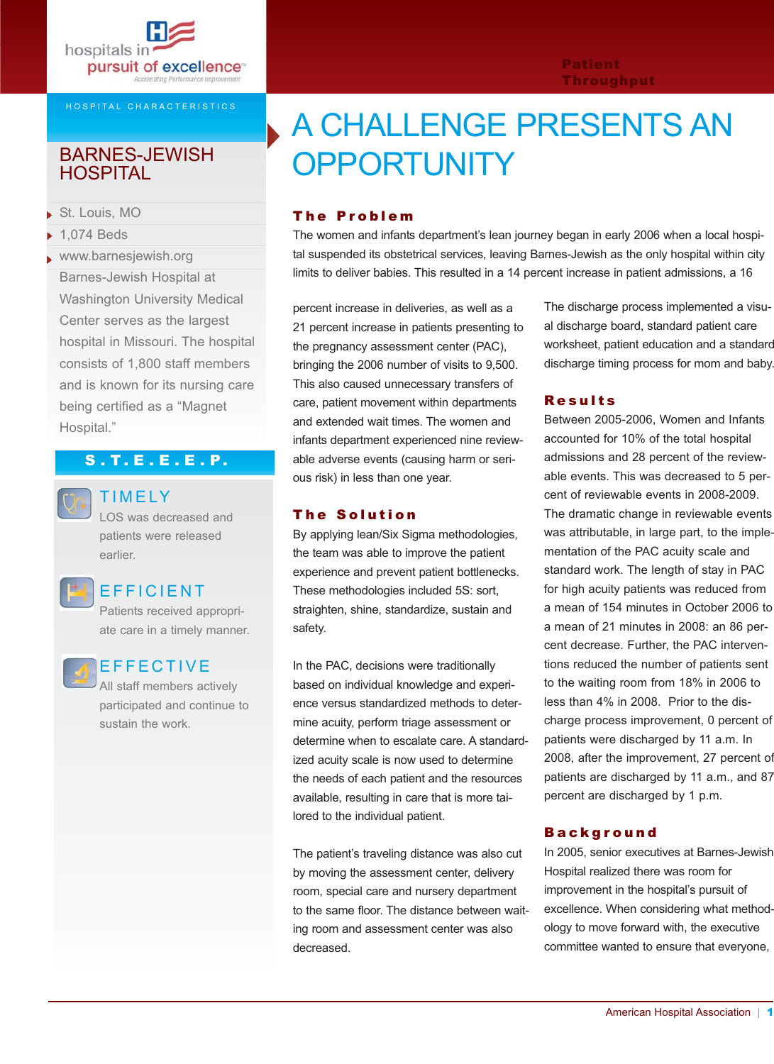

#### HOSPITAL CHARACTERISTICS

## **HOSPITAL**

- St. Louis, MO
- $\blacktriangleright$  1.074 Beds
- www.barnesjewish.org Barnes-Jewish Hospital at Washington University Medical Center serves as the largest hospital in Missouri. The hospital consists of 1,800 staff members and is known for its nursing care being certified as a "Magnet Hospital."

## S . T. E . E . E . P.



## TIMELY

LOS was decreased and patients were released earlier.

## EFFICIENT

Patients received appropriate care in a timely manner.

## EFFECTIVE

All staff members actively participated and continue to sustain the work.

# A CHALLENGE PRESENTS AN BARNES-JEWISH **OPPORTUNITY**

### The Problem

The women and infants department's lean journey began in early 2006 when a local hospital suspended its obstetrical services, leaving Barnes-Jewish as the only hospital within city limits to deliver babies. This resulted in a 14 percent increase in patient admissions, a 16

percent increase in deliveries, as well as a 21 percent increase in patients presenting to the pregnancy assessment center (PAC), bringing the 2006 number of visits to 9,500. This also caused unnecessary transfers of care, patient movement within departments and extended wait times. The women and infants department experienced nine reviewable adverse events (causing harm or serious risk) in less than one year.

#### The Solution

By applying lean/Six Sigma methodologies, the team was able to improve the patient experience and prevent patient bottlenecks. These methodologies included 5S: sort, straighten, shine, standardize, sustain and safety.

In the PAC, decisions were traditionally based on individual knowledge and experience versus standardized methods to determine acuity, perform triage assessment or determine when to escalate care. A standardized acuity scale is now used to determine the needs of each patient and the resources available, resulting in care that is more tailored to the individual patient.

The patient's traveling distance was also cut by moving the assessment center, delivery room, special care and nursery department to the same floor. The distance between waiting room and assessment center was also decreased.

The discharge process implemented a visual discharge board, standard patient care worksheet, patient education and a standard discharge timing process for mom and baby.

#### Results

Patient Throughput

Between 2005-2006, Women and Infants accounted for 10% of the total hospital admissions and 28 percent of the reviewable events. This was decreased to 5 percent of reviewable events in 2008-2009. The dramatic change in reviewable events was attributable, in large part, to the implementation of the PAC acuity scale and standard work. The length of stay in PAC for high acuity patients was reduced from a mean of 154 minutes in October 2006 to a mean of 21 minutes in 2008: an 86 percent decrease. Further, the PAC interventions reduced the number of patients sent to the waiting room from 18% in 2006 to less than 4% in 2008. Prior to the discharge process improvement, 0 percent of patients were discharged by 11 a.m. In 2008, after the improvement, 27 percent of patients are discharged by 11 a.m., and 87 percent are discharged by 1 p.m.

#### **Background**

In 2005, senior executives at Barnes-Jewish Hospital realized there was room for improvement in the hospital's pursuit of excellence. When considering what methodology to move forward with, the executive committee wanted to ensure that everyone,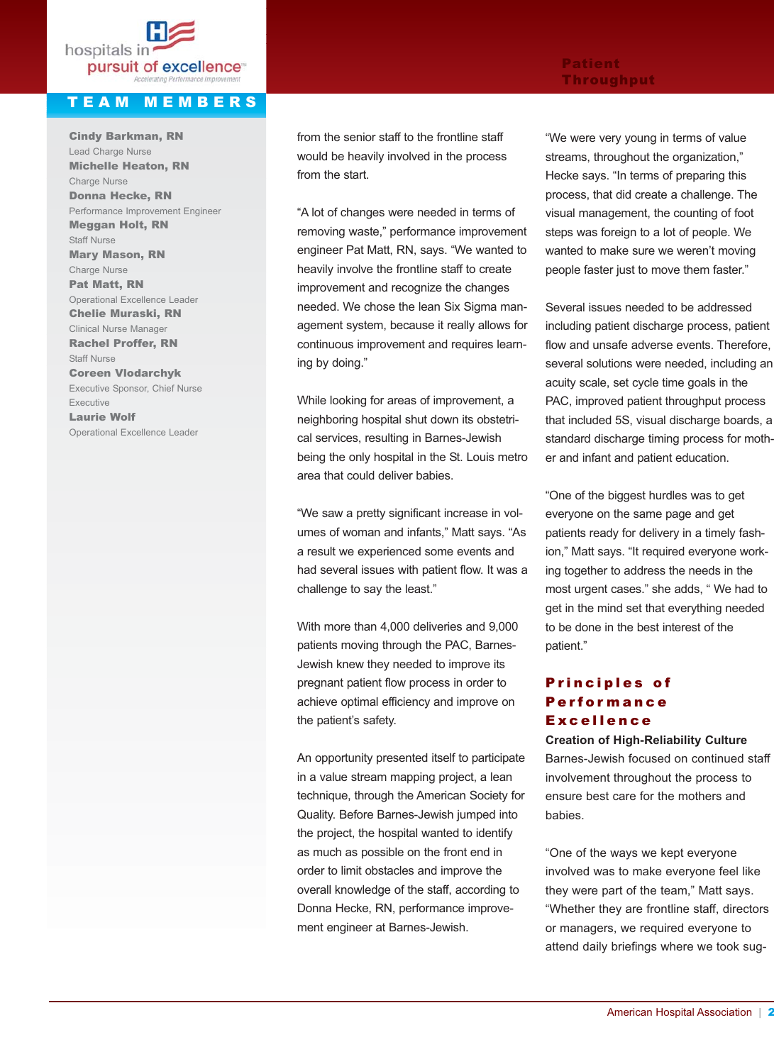

## TEAM MEMBERS

Cindy Barkman, RN Lead Charge Nurse Michelle Heaton, RN Charge Nurse Donna Hecke, RN Performance Improvement Engineer Meggan Holt, RN Staff Nurse Mary Mason, RN Charge Nurse Pat Matt, RN Operational Excellence Leader Chelie Muraski, RN Clinical Nurse Manager Rachel Proffer, RN Staff Nurse Coreen Vlodarchyk Executive Sponsor, Chief Nurse Executive Laurie Wolf Operational Excellence Leader

## from the senior staff to the frontline staff would be heavily involved in the process from the start.

"A lot of changes were needed in terms of removing waste," performance improvement engineer Pat Matt, RN, says. "We wanted to heavily involve the frontline staff to create improvement and recognize the changes needed. We chose the lean Six Sigma management system, because it really allows for continuous improvement and requires learning by doing."

While looking for areas of improvement, a neighboring hospital shut down its obstetrical services, resulting in Barnes-Jewish being the only hospital in the St. Louis metro area that could deliver babies.

"We saw a pretty significant increase in volumes of woman and infants," Matt says. "As a result we experienced some events and had several issues with patient flow. It was a challenge to say the least."

With more than 4,000 deliveries and 9,000 patients moving through the PAC, Barnes-Jewish knew they needed to improve its pregnant patient flow process in order to achieve optimal efficiency and improve on the patient's safety.

An opportunity presented itself to participate in a value stream mapping project, a lean technique, through the American Society for Quality. Before Barnes-Jewish jumped into the project, the hospital wanted to identify as much as possible on the front end in order to limit obstacles and improve the overall knowledge of the staff, according to Donna Hecke, RN, performance improvement engineer at Barnes-Jewish.

#### Patient Throughput

"We were very young in terms of value streams, throughout the organization," Hecke says. "In terms of preparing this process, that did create a challenge. The visual management, the counting of foot steps was foreign to a lot of people. We wanted to make sure we weren't moving people faster just to move them faster."

Several issues needed to be addressed including patient discharge process, patient flow and unsafe adverse events. Therefore, several solutions were needed, including an acuity scale, set cycle time goals in the PAC, improved patient throughput process that included 5S, visual discharge boards, a standard discharge timing process for mother and infant and patient education.

"One of the biggest hurdles was to get everyone on the same page and get patients ready for delivery in a timely fashion," Matt says. "It required everyone working together to address the needs in the most urgent cases." she adds, " We had to get in the mind set that everything needed to be done in the best interest of the patient."

## Principles of **Performance** Excellence

**Creation of High-Reliability Culture** Barnes-Jewish focused on continued staff involvement throughout the process to ensure best care for the mothers and babies.

"One of the ways we kept everyone involved was to make everyone feel like they were part of the team," Matt says. "Whether they are frontline staff, directors or managers, we required everyone to attend daily briefings where we took sug-